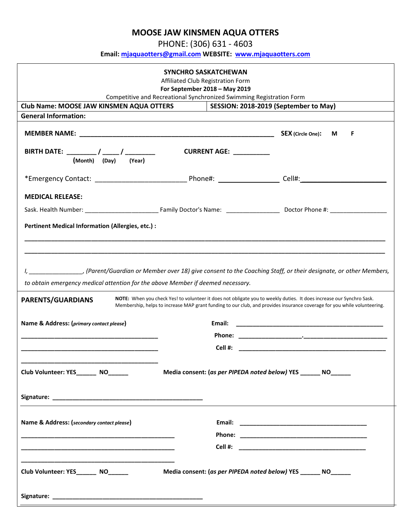## **MOOSE JAW KINSMEN AQUA OTTERS**

PHONE: (306) 631 - 4603

**Email: [mjaquaotters@gmail.com](mailto:mjaquaotters@gmail.com) WEBSITE: [www.mjaquaotters.com](http://www.mjaquaotters.com/)**

| SYNCHRO SASKATCHEWAN<br>Affiliated Club Registration Form<br>For September 2018 - May 2019                                                                                                                                                                            |                                                                      |                                       |  |
|-----------------------------------------------------------------------------------------------------------------------------------------------------------------------------------------------------------------------------------------------------------------------|----------------------------------------------------------------------|---------------------------------------|--|
|                                                                                                                                                                                                                                                                       | Competitive and Recreational Synchronized Swimming Registration Form |                                       |  |
| Club Name: MOOSE JAW KINSMEN AQUA OTTERS                                                                                                                                                                                                                              |                                                                      | SESSION: 2018-2019 (September to May) |  |
| <b>General Information:</b>                                                                                                                                                                                                                                           |                                                                      |                                       |  |
|                                                                                                                                                                                                                                                                       |                                                                      | <b>SEX</b> (Circle One):<br>M<br>F    |  |
| <b>CURRENT AGE:</b> __________<br>(Month) (Day) (Year)                                                                                                                                                                                                                |                                                                      |                                       |  |
|                                                                                                                                                                                                                                                                       |                                                                      |                                       |  |
| <b>MEDICAL RELEASE:</b>                                                                                                                                                                                                                                               |                                                                      |                                       |  |
|                                                                                                                                                                                                                                                                       |                                                                      |                                       |  |
| <b>Pertinent Medical Information (Allergies, etc.) :</b>                                                                                                                                                                                                              |                                                                      |                                       |  |
|                                                                                                                                                                                                                                                                       |                                                                      |                                       |  |
| to obtain emergency medical attention for the above Member if deemed necessary.                                                                                                                                                                                       |                                                                      |                                       |  |
| NOTE: When you check Yes! to volunteer it does not obligate you to weekly duties. It does increase our Synchro Sask.<br>PARENTS/GUARDIANS<br>Membership, helps to increase MAP grant funding to our club, and provides insurance coverage for you while volunteering. |                                                                      |                                       |  |
| Name & Address: (primary contact please)                                                                                                                                                                                                                              |                                                                      |                                       |  |
|                                                                                                                                                                                                                                                                       |                                                                      |                                       |  |
|                                                                                                                                                                                                                                                                       |                                                                      |                                       |  |
| Club Volunteer: YES________ NO______<br>Media consent: (as per PIPEDA noted below) YES _______ NO_______                                                                                                                                                              |                                                                      |                                       |  |
|                                                                                                                                                                                                                                                                       |                                                                      |                                       |  |
| Name & Address: (secondary contact please)                                                                                                                                                                                                                            |                                                                      |                                       |  |
|                                                                                                                                                                                                                                                                       |                                                                      |                                       |  |
|                                                                                                                                                                                                                                                                       |                                                                      |                                       |  |
| Club Volunteer: YES________ NO______                                                                                                                                                                                                                                  | Media consent: (as per PIPEDA noted below) YES ______ NO______       |                                       |  |
|                                                                                                                                                                                                                                                                       |                                                                      |                                       |  |